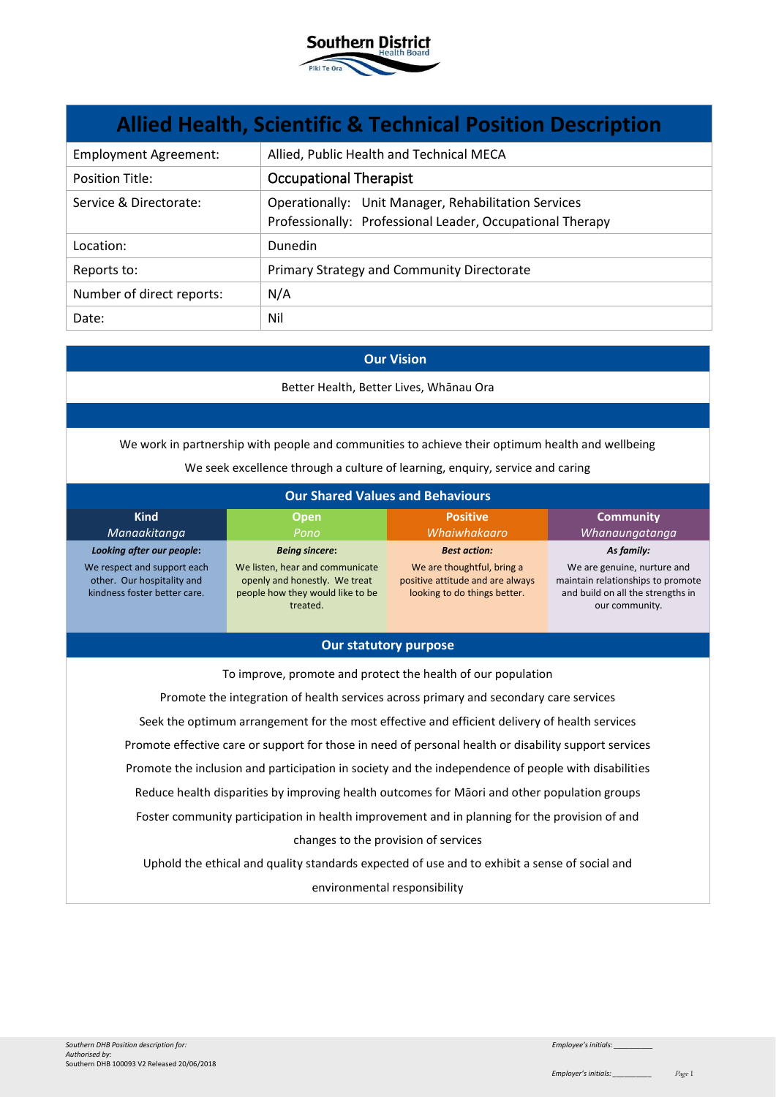

| <b>Allied Health, Scientific &amp; Technical Position Description</b> |                                                                                                                   |  |
|-----------------------------------------------------------------------|-------------------------------------------------------------------------------------------------------------------|--|
| <b>Employment Agreement:</b>                                          | Allied, Public Health and Technical MECA                                                                          |  |
| <b>Position Title:</b>                                                | <b>Occupational Therapist</b>                                                                                     |  |
| Service & Directorate:                                                | Operationally: Unit Manager, Rehabilitation Services<br>Professionally: Professional Leader, Occupational Therapy |  |
| Location:                                                             | <b>Dunedin</b>                                                                                                    |  |
| Reports to:                                                           | Primary Strategy and Community Directorate                                                                        |  |
| Number of direct reports:                                             | N/A                                                                                                               |  |
| Date:                                                                 | Nil                                                                                                               |  |

#### **Our Vision**

Better Health, Better Lives, Whānau Ora

We work in partnership with people and communities to achieve their optimum health and wellbeing

We seek excellence through a culture of learning, enquiry, service and caring

| <b>Our Shared Values and Behaviours</b>                                                   |                                                                                                                  |                                                                                                |                                                                                                                         |
|-------------------------------------------------------------------------------------------|------------------------------------------------------------------------------------------------------------------|------------------------------------------------------------------------------------------------|-------------------------------------------------------------------------------------------------------------------------|
| <b>Kind</b><br>Manaakitanga                                                               | Open,<br>Pono                                                                                                    | <b>Positive</b><br>Whaiwhakaaro                                                                | <b>Community</b><br>Whanaungatanga                                                                                      |
| Looking after our people:                                                                 | <b>Being sincere:</b>                                                                                            | <b>Best action:</b>                                                                            | As family:                                                                                                              |
| We respect and support each<br>other. Our hospitality and<br>kindness foster better care. | We listen, hear and communicate<br>openly and honestly. We treat<br>people how they would like to be<br>treated. | We are thoughtful, bring a<br>positive attitude and are always<br>looking to do things better. | We are genuine, nurture and<br>maintain relationships to promote<br>and build on all the strengths in<br>our community. |

#### **Our statutory purpose**

To improve, promote and protect the health of our population Promote the integration of health services across primary and secondary care services Seek the optimum arrangement for the most effective and efficient delivery of health services Promote effective care or support for those in need of personal health or disability support services Promote the inclusion and participation in society and the independence of people with disabilities Reduce health disparities by improving health outcomes for Māori and other population groups Foster community participation in health improvement and in planning for the provision of and changes to the provision of services Uphold the ethical and quality standards expected of use and to exhibit a sense of social and

environmental responsibility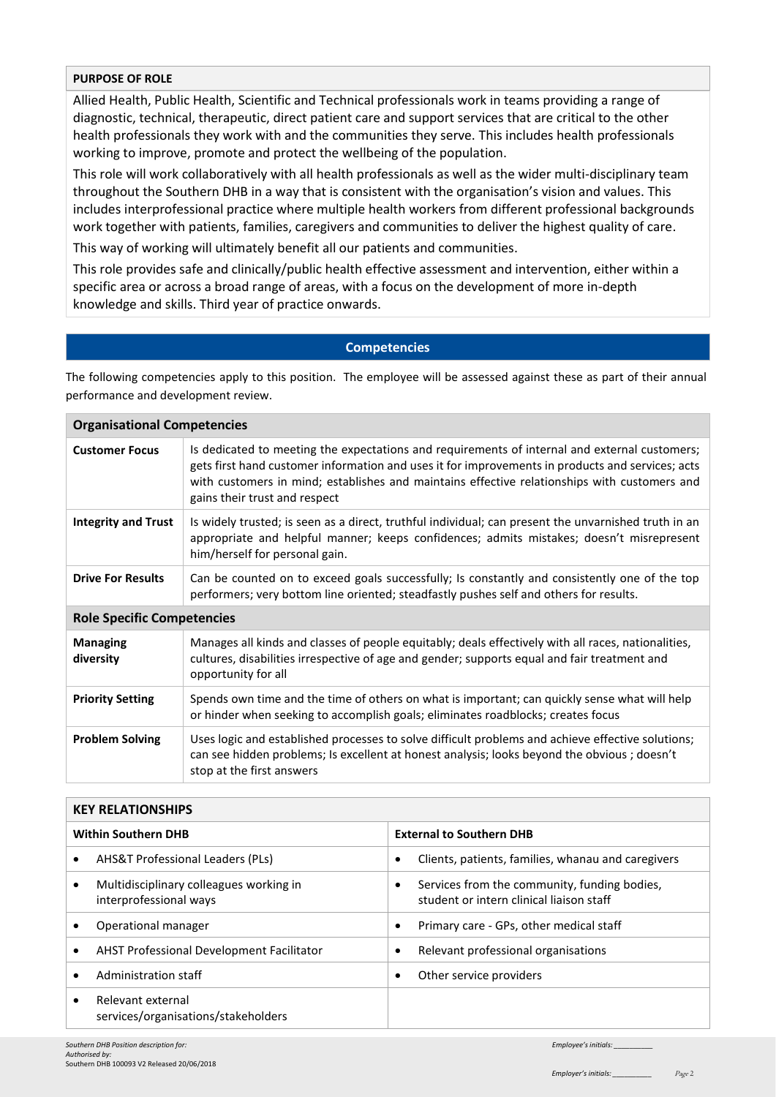## **PURPOSE OF ROLE**

Allied Health, Public Health, Scientific and Technical professionals work in teams providing a range of diagnostic, technical, therapeutic, direct patient care and support services that are critical to the other health professionals they work with and the communities they serve. This includes health professionals working to improve, promote and protect the wellbeing of the population.

This role will work collaboratively with all health professionals as well as the wider multi-disciplinary team throughout the Southern DHB in a way that is consistent with the organisation's vision and values. This includes interprofessional practice where multiple health workers from different professional backgrounds work together with patients, families, caregivers and communities to deliver the highest quality of care.

This way of working will ultimately benefit all our patients and communities.

This role provides safe and clinically/public health effective assessment and intervention, either within a specific area or across a broad range of areas, with a focus on the development of more in-depth knowledge and skills. Third year of practice onwards.

## **Competencies**

The following competencies apply to this position. The employee will be assessed against these as part of their annual performance and development review.

|                                   | <b>Organisational Competencies</b>                                                                                                                                                                                                                                                                                                 |  |  |
|-----------------------------------|------------------------------------------------------------------------------------------------------------------------------------------------------------------------------------------------------------------------------------------------------------------------------------------------------------------------------------|--|--|
| <b>Customer Focus</b>             | Is dedicated to meeting the expectations and requirements of internal and external customers;<br>gets first hand customer information and uses it for improvements in products and services; acts<br>with customers in mind; establishes and maintains effective relationships with customers and<br>gains their trust and respect |  |  |
| <b>Integrity and Trust</b>        | Is widely trusted; is seen as a direct, truthful individual; can present the unvarnished truth in an<br>appropriate and helpful manner; keeps confidences; admits mistakes; doesn't misrepresent<br>him/herself for personal gain.                                                                                                 |  |  |
| <b>Drive For Results</b>          | Can be counted on to exceed goals successfully; Is constantly and consistently one of the top<br>performers; very bottom line oriented; steadfastly pushes self and others for results.                                                                                                                                            |  |  |
| <b>Role Specific Competencies</b> |                                                                                                                                                                                                                                                                                                                                    |  |  |
| <b>Managing</b><br>diversity      | Manages all kinds and classes of people equitably; deals effectively with all races, nationalities,<br>cultures, disabilities irrespective of age and gender; supports equal and fair treatment and<br>opportunity for all                                                                                                         |  |  |
| <b>Priority Setting</b>           | Spends own time and the time of others on what is important; can quickly sense what will help<br>or hinder when seeking to accomplish goals; eliminates roadblocks; creates focus                                                                                                                                                  |  |  |
| <b>Problem Solving</b>            | Uses logic and established processes to solve difficult problems and achieve effective solutions;<br>can see hidden problems; Is excellent at honest analysis; looks beyond the obvious; doesn't<br>stop at the first answers                                                                                                      |  |  |

| <b>KEY RELATIONSHIPS</b>                                               |                                                                                               |  |
|------------------------------------------------------------------------|-----------------------------------------------------------------------------------------------|--|
| <b>Within Southern DHB</b>                                             | <b>External to Southern DHB</b>                                                               |  |
| AHS&T Professional Leaders (PLs)<br>$\bullet$                          | Clients, patients, families, whanau and caregivers<br>٠                                       |  |
| Multidisciplinary colleagues working in<br>٠<br>interprofessional ways | Services from the community, funding bodies,<br>٠<br>student or intern clinical liaison staff |  |
| Operational manager                                                    | Primary care - GPs, other medical staff<br>٠                                                  |  |
| AHST Professional Development Facilitator<br>$\bullet$                 | Relevant professional organisations                                                           |  |
| Administration staff                                                   | Other service providers                                                                       |  |
| Relevant external<br>$\bullet$<br>services/organisations/stakeholders  |                                                                                               |  |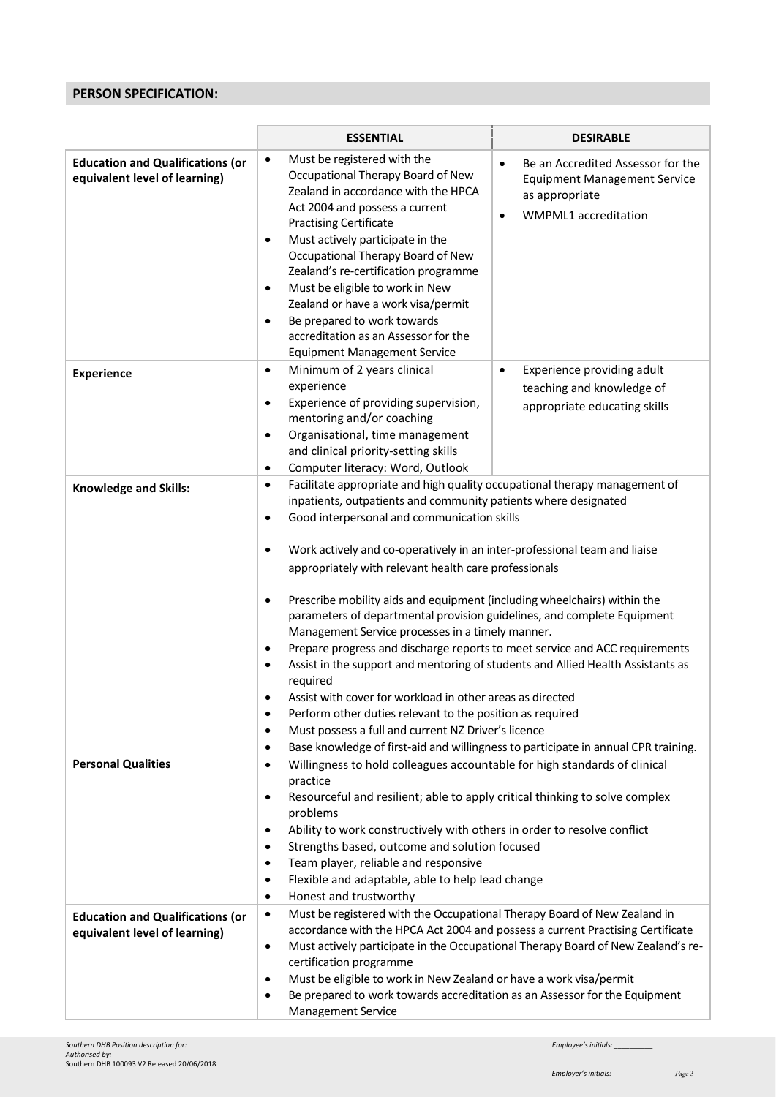# **PERSON SPECIFICATION:**

|                                                                          | <b>ESSENTIAL</b>                                                                                                                                                                                                                                                                                                                                                                                                                                                                                                       | <b>DESIRABLE</b>                                                                                                                                                                             |  |  |
|--------------------------------------------------------------------------|------------------------------------------------------------------------------------------------------------------------------------------------------------------------------------------------------------------------------------------------------------------------------------------------------------------------------------------------------------------------------------------------------------------------------------------------------------------------------------------------------------------------|----------------------------------------------------------------------------------------------------------------------------------------------------------------------------------------------|--|--|
| <b>Education and Qualifications (or</b><br>equivalent level of learning) | Must be registered with the<br>$\bullet$<br>Occupational Therapy Board of New<br>Zealand in accordance with the HPCA<br>Act 2004 and possess a current<br><b>Practising Certificate</b><br>Must actively participate in the<br>$\bullet$<br>Occupational Therapy Board of New<br>Zealand's re-certification programme<br>Must be eligible to work in New<br>٠<br>Zealand or have a work visa/permit<br>Be prepared to work towards<br>٠<br>accreditation as an Assessor for the<br><b>Equipment Management Service</b> | Be an Accredited Assessor for the<br>$\bullet$<br><b>Equipment Management Service</b><br>as appropriate<br>WMPML1 accreditation<br>$\bullet$                                                 |  |  |
| <b>Experience</b>                                                        | Minimum of 2 years clinical<br>$\bullet$<br>experience                                                                                                                                                                                                                                                                                                                                                                                                                                                                 | Experience providing adult<br>$\bullet$<br>teaching and knowledge of                                                                                                                         |  |  |
|                                                                          | Experience of providing supervision,<br>$\bullet$<br>mentoring and/or coaching<br>Organisational, time management<br>$\bullet$<br>and clinical priority-setting skills<br>Computer literacy: Word, Outlook<br>٠                                                                                                                                                                                                                                                                                                        | appropriate educating skills                                                                                                                                                                 |  |  |
| <b>Knowledge and Skills:</b>                                             | $\bullet$<br>٠                                                                                                                                                                                                                                                                                                                                                                                                                                                                                                         | Facilitate appropriate and high quality occupational therapy management of<br>inpatients, outpatients and community patients where designated<br>Good interpersonal and communication skills |  |  |
|                                                                          | Work actively and co-operatively in an inter-professional team and liaise<br>٠<br>appropriately with relevant health care professionals                                                                                                                                                                                                                                                                                                                                                                                |                                                                                                                                                                                              |  |  |
|                                                                          | Prescribe mobility aids and equipment (including wheelchairs) within the<br>$\bullet$<br>parameters of departmental provision guidelines, and complete Equipment<br>Management Service processes in a timely manner.                                                                                                                                                                                                                                                                                                   |                                                                                                                                                                                              |  |  |
|                                                                          | Prepare progress and discharge reports to meet service and ACC requirements<br>٠<br>Assist in the support and mentoring of students and Allied Health Assistants as<br>$\bullet$<br>required                                                                                                                                                                                                                                                                                                                           |                                                                                                                                                                                              |  |  |
|                                                                          | Assist with cover for workload in other areas as directed<br>Perform other duties relevant to the position as required<br>٠                                                                                                                                                                                                                                                                                                                                                                                            |                                                                                                                                                                                              |  |  |
|                                                                          | Must possess a full and current NZ Driver's licence<br>$\bullet$<br>Base knowledge of first-aid and willingness to participate in annual CPR training.<br>٠                                                                                                                                                                                                                                                                                                                                                            |                                                                                                                                                                                              |  |  |
| <b>Personal Qualities</b>                                                | Willingness to hold colleagues accountable for high standards of clinical<br>$\bullet$<br>practice<br>Resourceful and resilient; able to apply critical thinking to solve complex<br>$\bullet$                                                                                                                                                                                                                                                                                                                         |                                                                                                                                                                                              |  |  |
|                                                                          | problems<br>Ability to work constructively with others in order to resolve conflict<br>$\bullet$                                                                                                                                                                                                                                                                                                                                                                                                                       |                                                                                                                                                                                              |  |  |
|                                                                          | Strengths based, outcome and solution focused<br>$\bullet$<br>Team player, reliable and responsive<br>$\bullet$                                                                                                                                                                                                                                                                                                                                                                                                        |                                                                                                                                                                                              |  |  |
|                                                                          | Flexible and adaptable, able to help lead change<br>$\bullet$<br>Honest and trustworthy<br>$\bullet$                                                                                                                                                                                                                                                                                                                                                                                                                   |                                                                                                                                                                                              |  |  |
| <b>Education and Qualifications (or</b><br>equivalent level of learning) | Must be registered with the Occupational Therapy Board of New Zealand in<br>$\bullet$<br>accordance with the HPCA Act 2004 and possess a current Practising Certificate<br>Must actively participate in the Occupational Therapy Board of New Zealand's re-<br>$\bullet$<br>certification programme<br>Must be eligible to work in New Zealand or have a work visa/permit<br>$\bullet$<br>Be prepared to work towards accreditation as an Assessor for the Equipment<br>$\bullet$                                      |                                                                                                                                                                                              |  |  |
|                                                                          | <b>Management Service</b>                                                                                                                                                                                                                                                                                                                                                                                                                                                                                              |                                                                                                                                                                                              |  |  |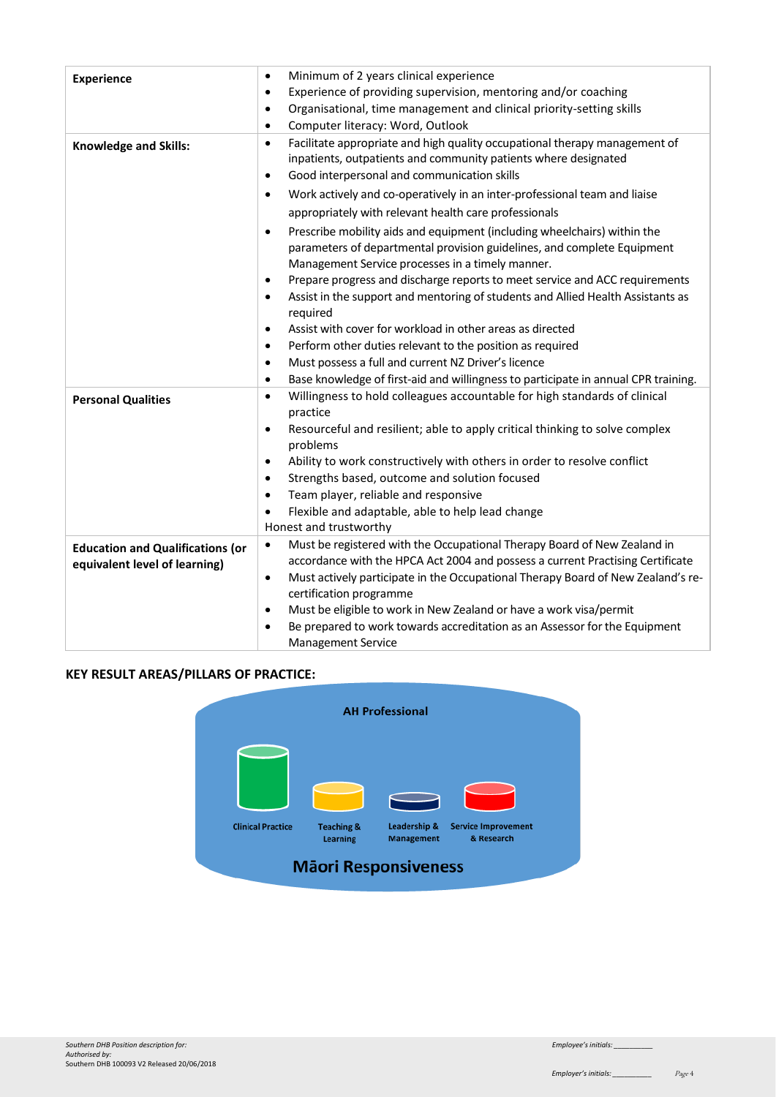| <b>Experience</b>                                                        | Minimum of 2 years clinical experience<br>$\bullet$                                                                                                                                                                                                                                                                                                                                                                                                                                                                                                                                                                                                                                                                                                                                                                                                                                                                                                                                                                               |
|--------------------------------------------------------------------------|-----------------------------------------------------------------------------------------------------------------------------------------------------------------------------------------------------------------------------------------------------------------------------------------------------------------------------------------------------------------------------------------------------------------------------------------------------------------------------------------------------------------------------------------------------------------------------------------------------------------------------------------------------------------------------------------------------------------------------------------------------------------------------------------------------------------------------------------------------------------------------------------------------------------------------------------------------------------------------------------------------------------------------------|
|                                                                          | Experience of providing supervision, mentoring and/or coaching<br>$\bullet$                                                                                                                                                                                                                                                                                                                                                                                                                                                                                                                                                                                                                                                                                                                                                                                                                                                                                                                                                       |
|                                                                          | Organisational, time management and clinical priority-setting skills<br>$\bullet$                                                                                                                                                                                                                                                                                                                                                                                                                                                                                                                                                                                                                                                                                                                                                                                                                                                                                                                                                 |
|                                                                          | Computer literacy: Word, Outlook<br>$\bullet$                                                                                                                                                                                                                                                                                                                                                                                                                                                                                                                                                                                                                                                                                                                                                                                                                                                                                                                                                                                     |
| <b>Knowledge and Skills:</b>                                             | Facilitate appropriate and high quality occupational therapy management of<br>$\bullet$<br>inpatients, outpatients and community patients where designated<br>Good interpersonal and communication skills<br>$\bullet$<br>Work actively and co-operatively in an inter-professional team and liaise<br>$\bullet$<br>appropriately with relevant health care professionals<br>Prescribe mobility aids and equipment (including wheelchairs) within the<br>$\bullet$<br>parameters of departmental provision guidelines, and complete Equipment<br>Management Service processes in a timely manner.<br>Prepare progress and discharge reports to meet service and ACC requirements<br>$\bullet$<br>Assist in the support and mentoring of students and Allied Health Assistants as<br>$\bullet$<br>required<br>Assist with cover for workload in other areas as directed<br>$\bullet$<br>Perform other duties relevant to the position as required<br>$\bullet$<br>Must possess a full and current NZ Driver's licence<br>$\bullet$ |
|                                                                          | Base knowledge of first-aid and willingness to participate in annual CPR training.<br>$\bullet$                                                                                                                                                                                                                                                                                                                                                                                                                                                                                                                                                                                                                                                                                                                                                                                                                                                                                                                                   |
| <b>Personal Qualities</b>                                                | Willingness to hold colleagues accountable for high standards of clinical<br>$\bullet$<br>practice<br>Resourceful and resilient; able to apply critical thinking to solve complex<br>$\bullet$<br>problems<br>Ability to work constructively with others in order to resolve conflict<br>$\bullet$<br>Strengths based, outcome and solution focused<br>$\bullet$<br>Team player, reliable and responsive<br>$\bullet$<br>Flexible and adaptable, able to help lead change<br>$\bullet$<br>Honest and trustworthy                                                                                                                                                                                                                                                                                                                                                                                                                                                                                                                  |
| <b>Education and Qualifications (or</b><br>equivalent level of learning) | Must be registered with the Occupational Therapy Board of New Zealand in<br>$\bullet$<br>accordance with the HPCA Act 2004 and possess a current Practising Certificate<br>Must actively participate in the Occupational Therapy Board of New Zealand's re-<br>$\bullet$<br>certification programme<br>Must be eligible to work in New Zealand or have a work visa/permit<br>$\bullet$<br>Be prepared to work towards accreditation as an Assessor for the Equipment<br>$\bullet$<br><b>Management Service</b>                                                                                                                                                                                                                                                                                                                                                                                                                                                                                                                    |

# **KEY RESULT AREAS/PILLARS OF PRACTICE:**

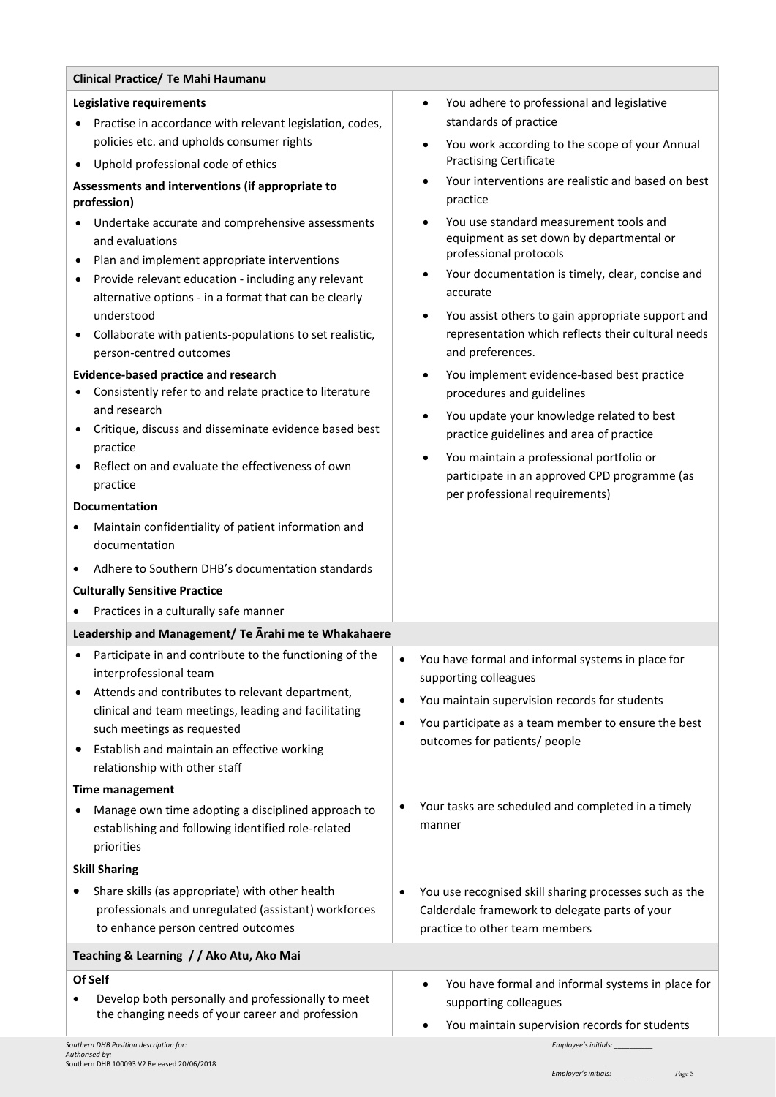| Legislative requirements<br>You adhere to professional and legislative<br>$\bullet$<br>standards of practice<br>Practise in accordance with relevant legislation, codes,<br>policies etc. and upholds consumer rights<br>You work according to the scope of your Annual<br>$\bullet$<br><b>Practising Certificate</b><br>Uphold professional code of ethics<br>Your interventions are realistic and based on best<br>Assessments and interventions (if appropriate to<br>practice<br>profession)<br>You use standard measurement tools and<br>Undertake accurate and comprehensive assessments<br>equipment as set down by departmental or<br>and evaluations<br>professional protocols<br>Plan and implement appropriate interventions<br>Your documentation is timely, clear, concise and<br>Provide relevant education - including any relevant                                                                                                                                    |  |
|---------------------------------------------------------------------------------------------------------------------------------------------------------------------------------------------------------------------------------------------------------------------------------------------------------------------------------------------------------------------------------------------------------------------------------------------------------------------------------------------------------------------------------------------------------------------------------------------------------------------------------------------------------------------------------------------------------------------------------------------------------------------------------------------------------------------------------------------------------------------------------------------------------------------------------------------------------------------------------------|--|
|                                                                                                                                                                                                                                                                                                                                                                                                                                                                                                                                                                                                                                                                                                                                                                                                                                                                                                                                                                                       |  |
|                                                                                                                                                                                                                                                                                                                                                                                                                                                                                                                                                                                                                                                                                                                                                                                                                                                                                                                                                                                       |  |
|                                                                                                                                                                                                                                                                                                                                                                                                                                                                                                                                                                                                                                                                                                                                                                                                                                                                                                                                                                                       |  |
|                                                                                                                                                                                                                                                                                                                                                                                                                                                                                                                                                                                                                                                                                                                                                                                                                                                                                                                                                                                       |  |
|                                                                                                                                                                                                                                                                                                                                                                                                                                                                                                                                                                                                                                                                                                                                                                                                                                                                                                                                                                                       |  |
| accurate<br>alternative options - in a format that can be clearly<br>understood<br>You assist others to gain appropriate support and<br>٠<br>representation which reflects their cultural needs<br>Collaborate with patients-populations to set realistic,<br>and preferences.<br>person-centred outcomes<br>You implement evidence-based best practice<br><b>Evidence-based practice and research</b><br>$\bullet$<br>Consistently refer to and relate practice to literature<br>procedures and guidelines<br>and research<br>You update your knowledge related to best<br>Critique, discuss and disseminate evidence based best<br>practice guidelines and area of practice<br>practice<br>You maintain a professional portfolio or<br>٠<br>Reflect on and evaluate the effectiveness of own<br>participate in an approved CPD programme (as<br>practice<br>per professional requirements)<br>Documentation<br>Maintain confidentiality of patient information and<br>documentation |  |
| Adhere to Southern DHB's documentation standards                                                                                                                                                                                                                                                                                                                                                                                                                                                                                                                                                                                                                                                                                                                                                                                                                                                                                                                                      |  |
| <b>Culturally Sensitive Practice</b>                                                                                                                                                                                                                                                                                                                                                                                                                                                                                                                                                                                                                                                                                                                                                                                                                                                                                                                                                  |  |
| Practices in a culturally safe manner                                                                                                                                                                                                                                                                                                                                                                                                                                                                                                                                                                                                                                                                                                                                                                                                                                                                                                                                                 |  |
| Leadership and Management/ Te Arahi me te Whakahaere                                                                                                                                                                                                                                                                                                                                                                                                                                                                                                                                                                                                                                                                                                                                                                                                                                                                                                                                  |  |
| Participate in and contribute to the functioning of the<br>You have formal and informal systems in place for<br>$\bullet$<br>interprofessional team<br>supporting colleagues<br>Attends and contributes to relevant department,<br>You maintain supervision records for students<br>$\bullet$<br>clinical and team meetings, leading and facilitating<br>You participate as a team member to ensure the best<br>$\bullet$<br>such meetings as requested<br>outcomes for patients/ people<br>Establish and maintain an effective working<br>relationship with other staff                                                                                                                                                                                                                                                                                                                                                                                                              |  |
| <b>Time management</b>                                                                                                                                                                                                                                                                                                                                                                                                                                                                                                                                                                                                                                                                                                                                                                                                                                                                                                                                                                |  |
| Your tasks are scheduled and completed in a timely<br>Manage own time adopting a disciplined approach to<br>manner<br>establishing and following identified role-related<br>priorities                                                                                                                                                                                                                                                                                                                                                                                                                                                                                                                                                                                                                                                                                                                                                                                                |  |
| <b>Skill Sharing</b>                                                                                                                                                                                                                                                                                                                                                                                                                                                                                                                                                                                                                                                                                                                                                                                                                                                                                                                                                                  |  |
| Share skills (as appropriate) with other health<br>You use recognised skill sharing processes such as the<br>professionals and unregulated (assistant) workforces<br>Calderdale framework to delegate parts of your<br>to enhance person centred outcomes<br>practice to other team members                                                                                                                                                                                                                                                                                                                                                                                                                                                                                                                                                                                                                                                                                           |  |
| Teaching & Learning / / Ako Atu, Ako Mai                                                                                                                                                                                                                                                                                                                                                                                                                                                                                                                                                                                                                                                                                                                                                                                                                                                                                                                                              |  |
| Of Self<br>You have formal and informal systems in place for<br>$\bullet$<br>Develop both personally and professionally to meet<br>supporting colleagues<br>the changing needs of your career and profession<br>You maintain supervision records for students                                                                                                                                                                                                                                                                                                                                                                                                                                                                                                                                                                                                                                                                                                                         |  |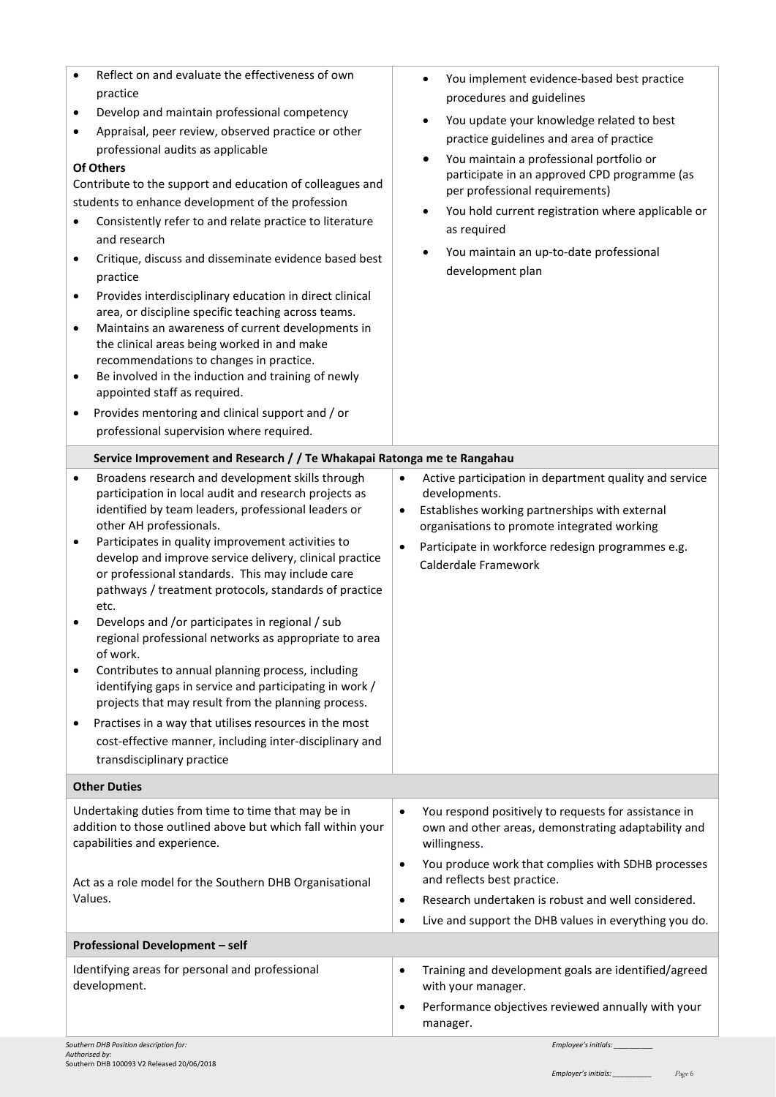| $\bullet$ | Reflect on and evaluate the effectiveness of own<br>practice                                                   |           | You implement evidence-based best practice<br>procedures and guidelines               |
|-----------|----------------------------------------------------------------------------------------------------------------|-----------|---------------------------------------------------------------------------------------|
| ٠         | Develop and maintain professional competency                                                                   |           |                                                                                       |
|           | Appraisal, peer review, observed practice or other<br>professional audits as applicable                        |           | You update your knowledge related to best<br>practice guidelines and area of practice |
|           | <b>Of Others</b>                                                                                               |           | You maintain a professional portfolio or                                              |
|           | Contribute to the support and education of colleagues and                                                      |           | participate in an approved CPD programme (as                                          |
|           | students to enhance development of the profession                                                              |           | per professional requirements)                                                        |
|           | Consistently refer to and relate practice to literature                                                        |           | You hold current registration where applicable or<br>$\bullet$                        |
|           | and research                                                                                                   |           | as required                                                                           |
|           |                                                                                                                |           | You maintain an up-to-date professional                                               |
| ٠         | Critique, discuss and disseminate evidence based best                                                          |           | development plan                                                                      |
|           | practice                                                                                                       |           |                                                                                       |
| $\bullet$ | Provides interdisciplinary education in direct clinical<br>area, or discipline specific teaching across teams. |           |                                                                                       |
| ٠         | Maintains an awareness of current developments in                                                              |           |                                                                                       |
|           | the clinical areas being worked in and make                                                                    |           |                                                                                       |
|           | recommendations to changes in practice.                                                                        |           |                                                                                       |
| ٠         | Be involved in the induction and training of newly                                                             |           |                                                                                       |
|           | appointed staff as required.                                                                                   |           |                                                                                       |
| ٠         | Provides mentoring and clinical support and / or                                                               |           |                                                                                       |
|           | professional supervision where required.                                                                       |           |                                                                                       |
|           | Service Improvement and Research / / Te Whakapai Ratonga me te Rangahau                                        |           |                                                                                       |
| $\bullet$ | Broadens research and development skills through                                                               | $\bullet$ | Active participation in department quality and service                                |
|           | participation in local audit and research projects as                                                          |           | developments.                                                                         |
|           | identified by team leaders, professional leaders or                                                            | $\bullet$ | Establishes working partnerships with external                                        |
|           | other AH professionals.                                                                                        |           | organisations to promote integrated working                                           |
|           | Participates in quality improvement activities to<br>develop and improve service delivery, clinical practice   | $\bullet$ | Participate in workforce redesign programmes e.g.                                     |
|           | or professional standards. This may include care                                                               |           | Calderdale Framework                                                                  |
|           | pathways / treatment protocols, standards of practice                                                          |           |                                                                                       |
|           | etc.                                                                                                           |           |                                                                                       |
|           | Develops and /or participates in regional / sub                                                                |           |                                                                                       |
|           | regional professional networks as appropriate to area                                                          |           |                                                                                       |
|           | of work.                                                                                                       |           |                                                                                       |
|           | Contributes to annual planning process, including<br>identifying gaps in service and participating in work /   |           |                                                                                       |
|           | projects that may result from the planning process.                                                            |           |                                                                                       |
| ٠         | Practises in a way that utilises resources in the most                                                         |           |                                                                                       |
|           | cost-effective manner, including inter-disciplinary and                                                        |           |                                                                                       |
|           | transdisciplinary practice                                                                                     |           |                                                                                       |
|           |                                                                                                                |           |                                                                                       |
|           | <b>Other Duties</b>                                                                                            |           |                                                                                       |
|           | Undertaking duties from time to time that may be in                                                            | $\bullet$ | You respond positively to requests for assistance in                                  |
|           | addition to those outlined above but which fall within your                                                    |           | own and other areas, demonstrating adaptability and                                   |
|           | capabilities and experience.                                                                                   |           | willingness.                                                                          |
|           |                                                                                                                | $\bullet$ | You produce work that complies with SDHB processes                                    |
|           | Act as a role model for the Southern DHB Organisational                                                        |           | and reflects best practice.                                                           |
| Values.   |                                                                                                                | $\bullet$ | Research undertaken is robust and well considered.                                    |
|           |                                                                                                                | $\bullet$ | Live and support the DHB values in everything you do.                                 |
|           | <b>Professional Development - self</b>                                                                         |           |                                                                                       |
|           | Identifying areas for personal and professional                                                                | $\bullet$ | Training and development goals are identified/agreed                                  |
|           | development.                                                                                                   |           | with your manager.                                                                    |
|           |                                                                                                                | $\bullet$ | Performance objectives reviewed annually with your                                    |
|           |                                                                                                                |           | manager.                                                                              |
|           | Southern DHB Position description for:                                                                         |           | Employee's initials:                                                                  |